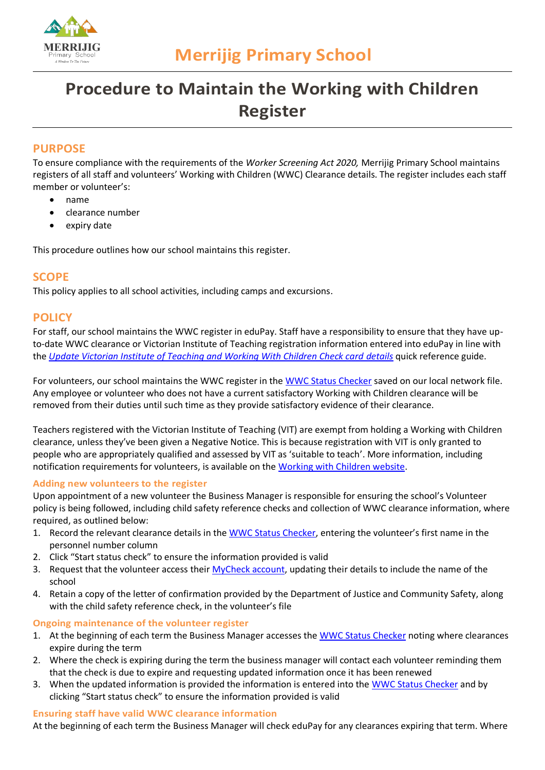

# **Procedure to Maintain the Working with Children Register**

# **PURPOSE**

To ensure compliance with the requirements of the *Worker Screening Act 2020,* Merrijig Primary School maintains registers of all staff and volunteers' Working with Children (WWC) Clearance details. The register includes each staff member or volunteer's:

- name
- clearance number
- expiry date

This procedure outlines how our school maintains this register.

## **SCOPE**

This policy applies to all school activities, including camps and excursions.

## **POLICY**

For staff, our school maintains the WWC register in eduPay. Staff have a responsibility to ensure that they have upto-date WWC clearance or Victorian Institute of Teaching registration information entered into eduPay in line with the *[Update Victorian Institute of Teaching and Working With Children Check card details](https://edugate.eduweb.vic.gov.au/Services/HR/Documents/QRG-ESS-Record-VIT-WWCC.pdf)* quick reference guide.

For volunteers, our school maintains the WWC register in the [WWC Status Checker](https://www.workingwithchildren.vic.gov.au/about-the-check/resources/status-checker) saved on our local network file. Any employee or volunteer who does not have a current satisfactory Working with Children clearance will be removed from their duties until such time as they provide satisfactory evidence of their clearance.

Teachers registered with the Victorian Institute of Teaching (VIT) are exempt from holding a Working with Children clearance, unless they've been given a Negative Notice. This is because registration with VIT is only granted to people who are appropriately qualified and assessed by VIT as 'suitable to teach'. More information, including notification requirements for volunteers, is available on the [Working with Children website.](https://www.workingwithchildren.vic.gov.au/organisations/victorian-teacher-information)

#### **Adding new volunteers to the register**

Upon appointment of a new volunteer the Business Manager is responsible for ensuring the school's Volunteer policy is being followed, including child safety reference checks and collection of WWC clearance information, where required, as outlined below:

- 1. Record the relevant clearance details in the [WWC Status Checker](https://www.workingwithchildren.vic.gov.au/about-the-check/resources/status-checker), entering the volunteer's first name in the personnel number column
- 2. Click "Start status check" to ensure the information provided is valid
- 3. Request that the volunteer access their [MyCheck account,](https://online.justice.vic.gov.au/wwccu/mycheck.doj#_ga=2.54674667.1767137711.1628045382-1900375344.1621486323) updating their details to include the name of the school
- 4. Retain a copy of the letter of confirmation provided by the Department of Justice and Community Safety, along with the child safety reference check, in the volunteer's file

### **Ongoing maintenance of the volunteer register**

- 1. At the beginning of each term the Business Manager accesses the [WWC Status Checker](https://www.workingwithchildren.vic.gov.au/about-the-check/resources/status-checker) noting where clearances expire during the term
- 2. Where the check is expiring during the term the business manager will contact each volunteer reminding them that the check is due to expire and requesting updated information once it has been renewed
- 3. When the updated information is provided the information is entered into the [WWC Status Checker](https://www.workingwithchildren.vic.gov.au/about-the-check/resources/status-checker) and by clicking "Start status check" to ensure the information provided is valid

#### **Ensuring staff have valid WWC clearance information**

At the beginning of each term the Business Manager will check eduPay for any clearances expiring that term. Where